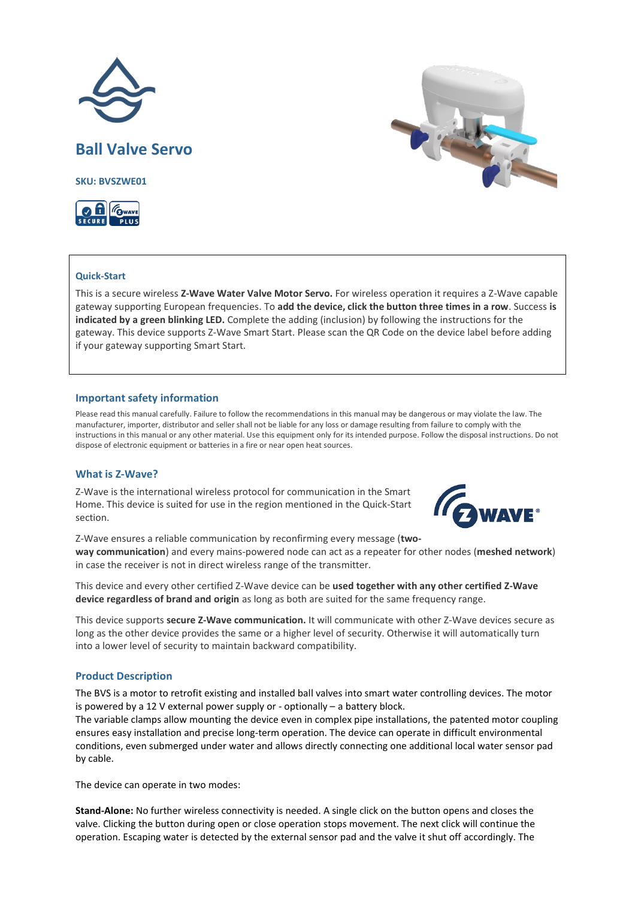



# **Quick-Start**

This is a secure wireless **Z-Wave Water Valve Motor Servo.** For wireless operation it requires a Z-Wave capable gateway supporting European frequencies. To **add the device, click the button three times in a row**. Success **is indicated by a green blinking LED.** Complete the adding (inclusion) by following the instructions for the gateway. This device supports Z-Wave Smart Start. Please scan the QR Code on the device label before adding if your gateway supporting Smart Start.

## **Important safety information**

Please read this manual carefully. Failure to follow the recommendations in this manual may be dangerous or may violate the law. The manufacturer, importer, distributor and seller shall not be liable for any loss or damage resulting from failure to comply with the instructions in this manual or any other material. Use this equipment only for its intended purpose. Follow the disposal instructions. Do not dispose of electronic equipment or batteries in a fire or near open heat sources.

# **What is Z-Wave?**

Z-Wave is the international wireless protocol for communication in the Smart Home. This device is suited for use in the region mentioned in the Quick-Start section.



Z-Wave ensures a reliable communication by reconfirming every message (**twoway communication**) and every mains-powered node can act as a repeater for other nodes (**meshed network**) in case the receiver is not in direct wireless range of the transmitter.

This device and every other certified Z-Wave device can be **used together with any other certified Z-Wave device regardless of brand and origin** as long as both are suited for the same frequency range.

This device supports **secure Z-Wave communication.** It will communicate with other Z-Wave devices secure as long as the other device provides the same or a higher level of security. Otherwise it will automatically turn into a lower level of security to maintain backward compatibility.

# **Product Description**

The BVS is a motor to retrofit existing and installed ball valves into smart water controlling devices. The motor is powered by a 12 V external power supply or - optionally – a battery block.

The variable clamps allow mounting the device even in complex pipe installations, the patented motor coupling ensures easy installation and precise long-term operation. The device can operate in difficult environmental conditions, even submerged under water and allows directly connecting one additional local water sensor pad by cable.

The device can operate in two modes:

**Stand-Alone:** No further wireless connectivity is needed. A single click on the button opens and closes the valve. Clicking the button during open or close operation stops movement. The next click will continue the operation. Escaping water is detected by the external sensor pad and the valve it shut off accordingly. The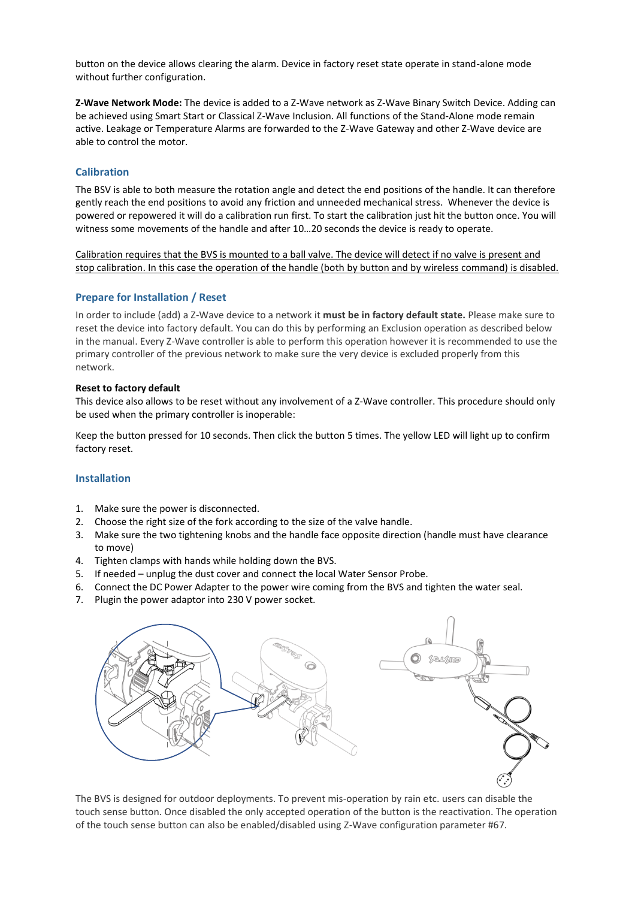button on the device allows clearing the alarm. Device in factory reset state operate in stand-alone mode without further configuration.

**Z-Wave Network Mode:** The device is added to a Z-Wave network as Z-Wave Binary Switch Device. Adding can be achieved using Smart Start or Classical Z-Wave Inclusion. All functions of the Stand-Alone mode remain active. Leakage or Temperature Alarms are forwarded to the Z-Wave Gateway and other Z-Wave device are able to control the motor.

# **Calibration**

The BSV is able to both measure the rotation angle and detect the end positions of the handle. It can therefore gently reach the end positions to avoid any friction and unneeded mechanical stress. Whenever the device is powered or repowered it will do a calibration run first. To start the calibration just hit the button once. You will witness some movements of the handle and after 10…20 seconds the device is ready to operate.

Calibration requires that the BVS is mounted to a ball valve. The device will detect if no valve is present and stop calibration. In this case the operation of the handle (both by button and by wireless command) is disabled.

# **Prepare for Installation / Reset**

In order to include (add) a Z-Wave device to a network it **must be in factory default state.** Please make sure to reset the device into factory default. You can do this by performing an Exclusion operation as described below in the manual. Every Z-Wave controller is able to perform this operation however it is recommended to use the primary controller of the previous network to make sure the very device is excluded properly from this network.

## **Reset to factory default**

This device also allows to be reset without any involvement of a Z-Wave controller. This procedure should only be used when the primary controller is inoperable:

Keep the button pressed for 10 seconds. Then click the button 5 times. The yellow LED will light up to confirm factory reset.

# **Installation**

- 1. Make sure the power is disconnected.
- 2. Choose the right size of the fork according to the size of the valve handle.
- 3. Make sure the two tightening knobs and the handle face opposite direction (handle must have clearance to move)
- 4. Tighten clamps with hands while holding down the BVS.
- 5. If needed unplug the dust cover and connect the local Water Sensor Probe.
- 6. Connect the DC Power Adapter to the power wire coming from the BVS and tighten the water seal.
- 7. Plugin the power adaptor into 230 V power socket.



The BVS is designed for outdoor deployments. To prevent mis-operation by rain etc. users can disable the touch sense button. Once disabled the only accepted operation of the button is the reactivation. The operation of the touch sense button can also be enabled/disabled using Z-Wave configuration parameter #67.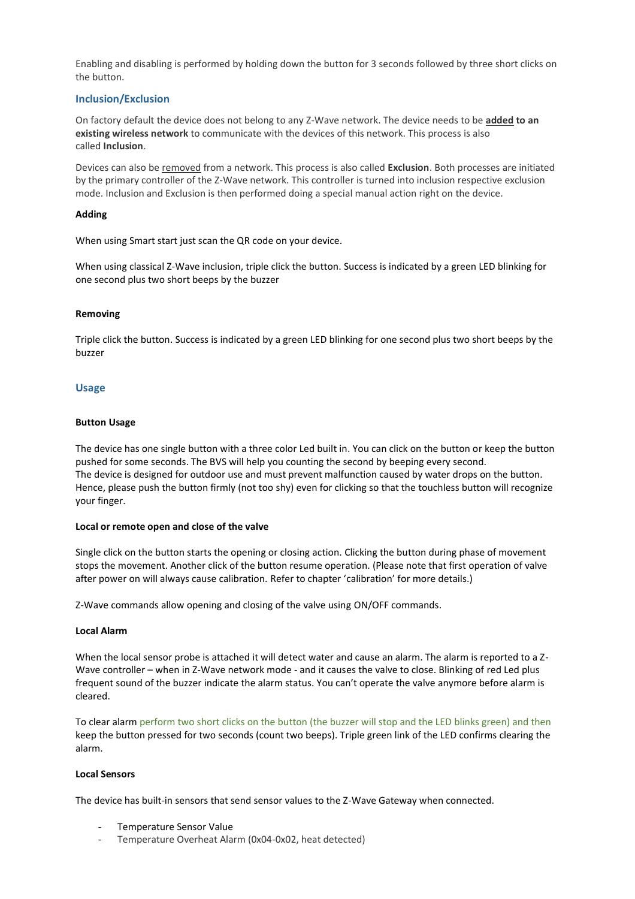Enabling and disabling is performed by holding down the button for 3 seconds followed by three short clicks on the button.

# **Inclusion/Exclusion**

On factory default the device does not belong to any Z-Wave network. The device needs to be **added to an existing wireless network** to communicate with the devices of this network. This process is also called **Inclusion**.

Devices can also be removed from a network. This process is also called **Exclusion**. Both processes are initiated by the primary controller of the Z-Wave network. This controller is turned into inclusion respective exclusion mode. Inclusion and Exclusion is then performed doing a special manual action right on the device.

## **Adding**

When using Smart start just scan the QR code on your device.

When using classical Z-Wave inclusion, triple click the button. Success is indicated by a green LED blinking for one second plus two short beeps by the buzzer

## **Removing**

Triple click the button. Success is indicated by a green LED blinking for one second plus two short beeps by the buzzer

## **Usage**

## **Button Usage**

The device has one single button with a three color Led built in. You can click on the button or keep the button pushed for some seconds. The BVS will help you counting the second by beeping every second. The device is designed for outdoor use and must prevent malfunction caused by water drops on the button. Hence, please push the button firmly (not too shy) even for clicking so that the touchless button will recognize your finger.

#### **Local or remote open and close of the valve**

Single click on the button starts the opening or closing action. Clicking the button during phase of movement stops the movement. Another click of the button resume operation. (Please note that first operation of valve after power on will always cause calibration. Refer to chapter 'calibration' for more details.)

Z-Wave commands allow opening and closing of the valve using ON/OFF commands.

#### **Local Alarm**

When the local sensor probe is attached it will detect water and cause an alarm. The alarm is reported to a Z-Wave controller – when in Z-Wave network mode - and it causes the valve to close. Blinking of red Led plus frequent sound of the buzzer indicate the alarm status. You can't operate the valve anymore before alarm is cleared.

To clear alarm perform two short clicks on the button (the buzzer will stop and the LED blinks green) and then keep the button pressed for two seconds (count two beeps). Triple green link of the LED confirms clearing the alarm.

#### **Local Sensors**

The device has built-in sensors that send sensor values to the Z-Wave Gateway when connected.

- Temperature Sensor Value
- Temperature Overheat Alarm (0x04-0x02, heat detected)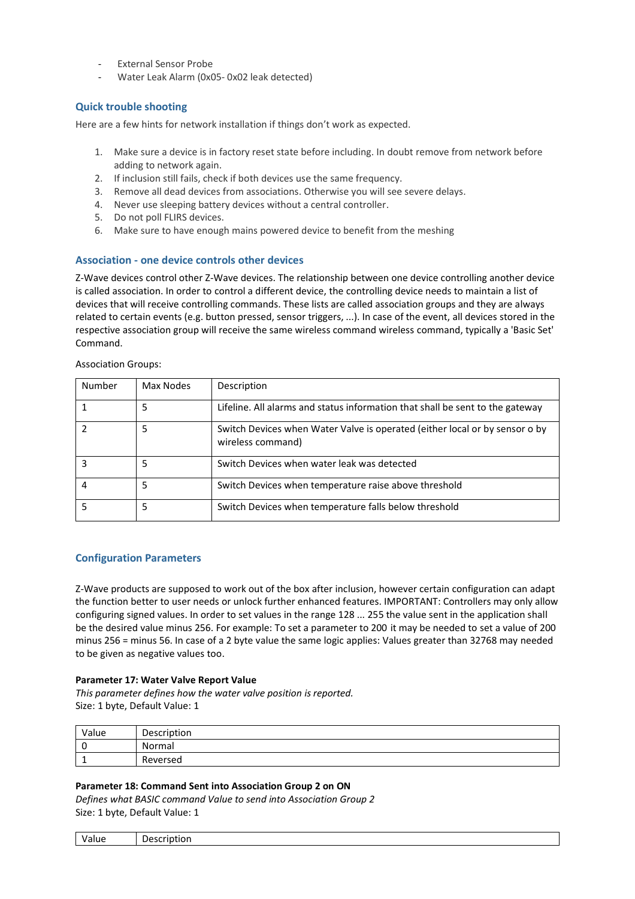- External Sensor Probe
- Water Leak Alarm (0x05- 0x02 leak detected)

# **Quick trouble shooting**

Here are a few hints for network installation if things don't work as expected.

- 1. Make sure a device is in factory reset state before including. In doubt remove from network before adding to network again.
- 2. If inclusion still fails, check if both devices use the same frequency.
- 3. Remove all dead devices from associations. Otherwise you will see severe delays.
- 4. Never use sleeping battery devices without a central controller.
- 5. Do not poll FLIRS devices.
- 6. Make sure to have enough mains powered device to benefit from the meshing

# **Association - one device controls other devices**

Z-Wave devices control other Z-Wave devices. The relationship between one device controlling another device is called association. In order to control a different device, the controlling device needs to maintain a list of devices that will receive controlling commands. These lists are called association groups and they are always related to certain events (e.g. button pressed, sensor triggers, ...). In case of the event, all devices stored in the respective association group will receive the same wireless command wireless command, typically a 'Basic Set' Command.

| Number | Max Nodes | Description                                                                                      |
|--------|-----------|--------------------------------------------------------------------------------------------------|
|        | 5         | Lifeline. All alarms and status information that shall be sent to the gateway                    |
|        | 5         | Switch Devices when Water Valve is operated (either local or by sensor o by<br>wireless command) |
|        | 5         | Switch Devices when water leak was detected                                                      |
| 4      | 5         | Switch Devices when temperature raise above threshold                                            |
|        | 5         | Switch Devices when temperature falls below threshold                                            |

#### Association Groups:

# **Configuration Parameters**

Z-Wave products are supposed to work out of the box after inclusion, however certain configuration can adapt the function better to user needs or unlock further enhanced features. IMPORTANT: Controllers may only allow configuring signed values. In order to set values in the range 128 ... 255 the value sent in the application shall be the desired value minus 256. For example: To set a parameter to 200 it may be needed to set a value of 200 minus 256 = minus 56. In case of a 2 byte value the same logic applies: Values greater than 32768 may needed to be given as negative values too.

#### **Parameter 17: Water Valve Report Value**

*This parameter defines how the water valve position is reported.* Size: 1 byte, Default Value: 1

| Value | Description   |
|-------|---------------|
|       | Normal        |
|       | -<br>Reversed |

#### **Parameter 18: Command Sent into Association Group 2 on ON**

*Defines what BASIC command Value to send into Association Group 2* Size: 1 byte, Default Value: 1

| $\overline{\phantom{0}}$<br>Value<br>- --<br>De:<br> |
|------------------------------------------------------|
|------------------------------------------------------|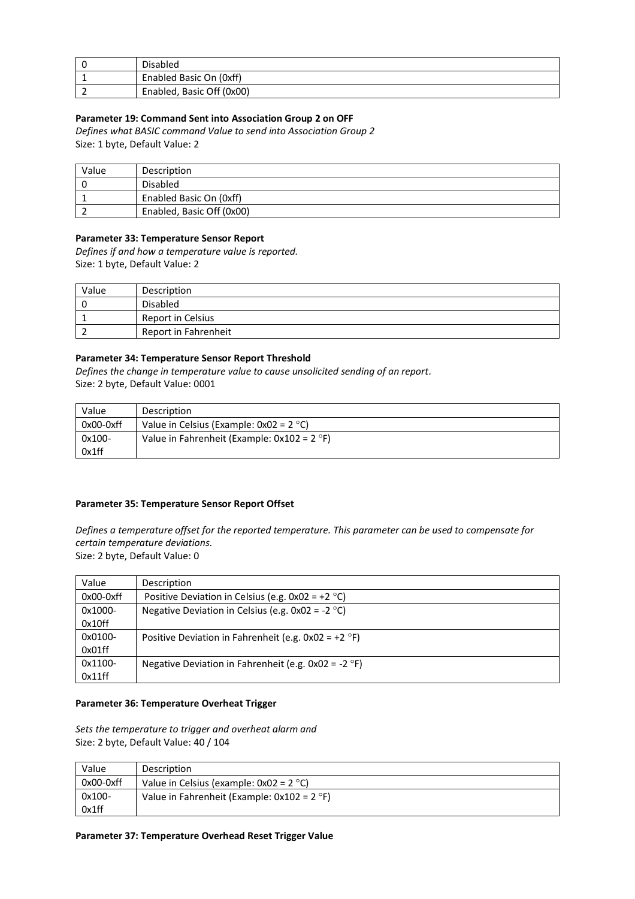| Disabled                  |
|---------------------------|
| Enabled Basic On (0xff)   |
| Enabled, Basic Off (0x00) |

## **Parameter 19: Command Sent into Association Group 2 on OFF**

*Defines what BASIC command Value to send into Association Group 2* Size: 1 byte, Default Value: 2

| Value | Description               |
|-------|---------------------------|
|       | Disabled                  |
|       | Enabled Basic On (0xff)   |
|       | Enabled, Basic Off (0x00) |

# **Parameter 33: Temperature Sensor Report**

*Defines if and how a temperature value is reported.* Size: 1 byte, Default Value: 2

| Value | Description          |
|-------|----------------------|
|       | Disabled             |
|       | Report in Celsius    |
|       | Report in Fahrenheit |

## **Parameter 34: Temperature Sensor Report Threshold**

*Defines the change in temperature value to cause unsolicited sending of an report.* Size: 2 byte, Default Value: 0001

| Value       | Description                                   |
|-------------|-----------------------------------------------|
| $0x00-0xff$ | Value in Celsius (Example: $0x02 = 2 °C$ )    |
| 0x100-      | Value in Fahrenheit (Example: $0x102 = 2$ °F) |
| 0x1ff       |                                               |

# **Parameter 35: Temperature Sensor Report Offset**

*Defines a temperature offset for the reported temperature. This parameter can be used to compensate for certain temperature deviations.*

Size: 2 byte, Default Value: 0

| Value       | Description                                            |
|-------------|--------------------------------------------------------|
| $0x00-0xff$ | Positive Deviation in Celsius (e.g. $0x02 = +2$ °C)    |
| 0x1000-     | Negative Deviation in Celsius (e.g. $0x02 = -2$ °C)    |
| 0x10ff      |                                                        |
| 0x0100-     | Positive Deviation in Fahrenheit (e.g. $0x02 = +2$ °F) |
| 0x01ff      |                                                        |
| 0x1100-     | Negative Deviation in Fahrenheit (e.g. $0x02 = -2$ °F) |
| 0x11ff      |                                                        |

#### **Parameter 36: Temperature Overheat Trigger**

*Sets the temperature to trigger and overheat alarm and*  Size: 2 byte, Default Value: 40 / 104

| Value     | Description                                   |
|-----------|-----------------------------------------------|
| 0x00-0xff | Value in Celsius (example: $0x02 = 2$ °C)     |
| 0x100-    | Value in Fahrenheit (Example: $0x102 = 2$ °F) |
| 0x1ff     |                                               |

## **Parameter 37: Temperature Overhead Reset Trigger Value**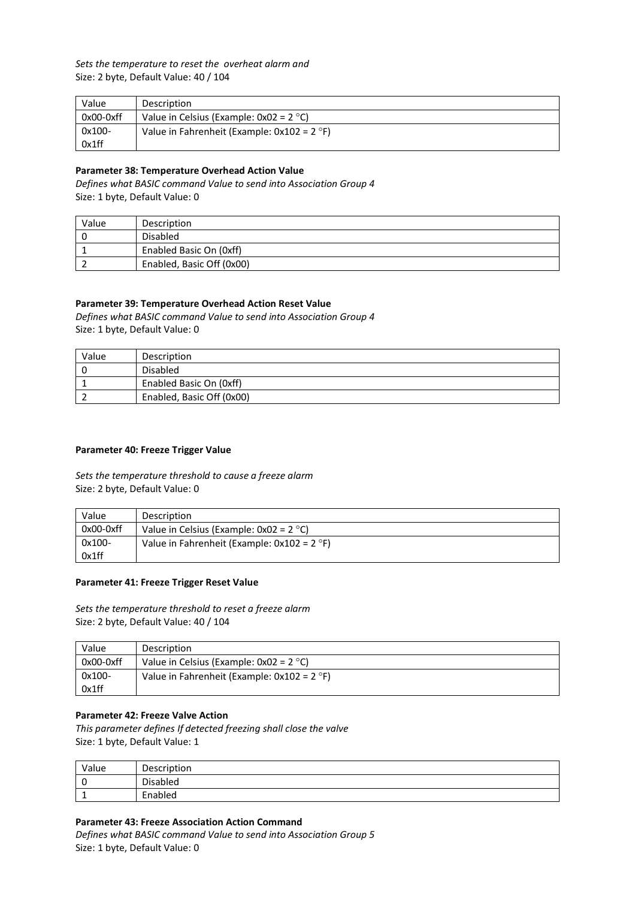*Sets the temperature to reset the overheat alarm and*  Size: 2 byte, Default Value: 40 / 104

| Value       | Description                                   |
|-------------|-----------------------------------------------|
| $0x00-0xff$ | Value in Celsius (Example: $0x02 = 2$ °C)     |
| 0x100-      | Value in Fahrenheit (Example: $0x102 = 2$ °F) |
| 0x1ff       |                                               |

# **Parameter 38: Temperature Overhead Action Value**

*Defines what BASIC command Value to send into Association Group 4* Size: 1 byte, Default Value: 0

| Value | Description               |
|-------|---------------------------|
|       | Disabled                  |
|       | Enabled Basic On (0xff)   |
|       | Enabled, Basic Off (0x00) |

# **Parameter 39: Temperature Overhead Action Reset Value**

*Defines what BASIC command Value to send into Association Group 4* Size: 1 byte, Default Value: 0

| Value | Description               |
|-------|---------------------------|
|       | Disabled                  |
|       | Enabled Basic On (0xff)   |
|       | Enabled, Basic Off (0x00) |

## **Parameter 40: Freeze Trigger Value**

*Sets the temperature threshold to cause a freeze alarm*  Size: 2 byte, Default Value: 0

| Value       | <b>Description</b>                            |
|-------------|-----------------------------------------------|
| $0x00-0xff$ | Value in Celsius (Example: $0x02 = 2$ °C)     |
| 0x100-      | Value in Fahrenheit (Example: $0x102 = 2$ °F) |
| 0x1ff       |                                               |

## **Parameter 41: Freeze Trigger Reset Value**

*Sets the temperature threshold to reset a freeze alarm*  Size: 2 byte, Default Value: 40 / 104

| Value       | Description                                   |
|-------------|-----------------------------------------------|
| $0x00-0xff$ | Value in Celsius (Example: $0x02 = 2 °C$ )    |
| 0x100-      | Value in Fahrenheit (Example: $0x102 = 2$ °F) |
| 0x1ff       |                                               |

#### **Parameter 42: Freeze Valve Action**

*This parameter defines If detected freezing shall close the valve*  Size: 1 byte, Default Value: 1

| Value | Description          |
|-------|----------------------|
|       | nicahlan<br>Disabled |
| -     | Enabled              |

#### **Parameter 43: Freeze Association Action Command**

*Defines what BASIC command Value to send into Association Group 5* Size: 1 byte, Default Value: 0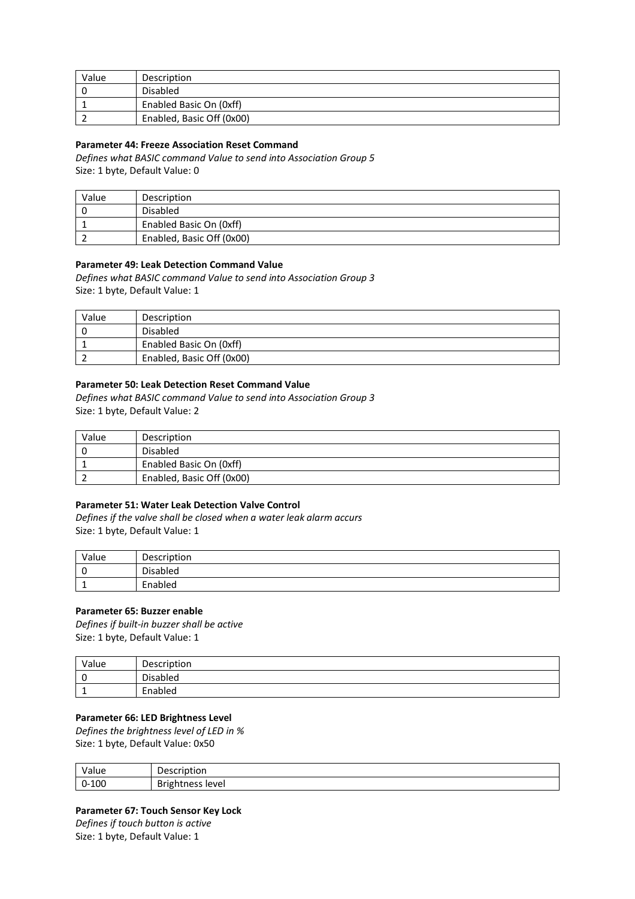| Value | Description               |
|-------|---------------------------|
|       | Disabled                  |
|       | Enabled Basic On (0xff)   |
|       | Enabled, Basic Off (0x00) |

## **Parameter 44: Freeze Association Reset Command**

*Defines what BASIC command Value to send into Association Group 5* Size: 1 byte, Default Value: 0

| Value | Description               |
|-------|---------------------------|
|       | Disabled                  |
|       | Enabled Basic On (0xff)   |
|       | Enabled, Basic Off (0x00) |

# **Parameter 49: Leak Detection Command Value**

*Defines what BASIC command Value to send into Association Group 3* Size: 1 byte, Default Value: 1

| Value | Description               |
|-------|---------------------------|
|       | Disabled                  |
|       | Enabled Basic On (0xff)   |
|       | Enabled, Basic Off (0x00) |

# **Parameter 50: Leak Detection Reset Command Value**

*Defines what BASIC command Value to send into Association Group 3* Size: 1 byte, Default Value: 2

| Value | Description               |
|-------|---------------------------|
|       | Disabled                  |
|       | Enabled Basic On (0xff)   |
|       | Enabled, Basic Off (0x00) |

## **Parameter 51: Water Leak Detection Valve Control**

*Defines if the valve shall be closed when a water leak alarm accurs* Size: 1 byte, Default Value: 1

| Value     | Description |
|-----------|-------------|
|           | Disabled    |
| <u>д.</u> | Enabled     |

#### **Parameter 65: Buzzer enable**

*Defines if built-in buzzer shall be active* Size: 1 byte, Default Value: 1

| Value     | Description                |
|-----------|----------------------------|
|           | <b>Disabled</b><br>– ∩ica. |
| <u>д.</u> | Enabled                    |

## **Parameter 66: LED Brightness Level**

*Defines the brightness level of LED in %* Size: 1 byte, Default Value: 0x50

| $\cdot$ $\cdot$ | -<br>$\cdots$<br>⊣ں<br>ושו |
|-----------------|----------------------------|
| 100<br>U-       | D.<br>level<br>DI<br>.     |

# **Parameter 67: Touch Sensor Key Lock**

*Defines if touch button is active* Size: 1 byte, Default Value: 1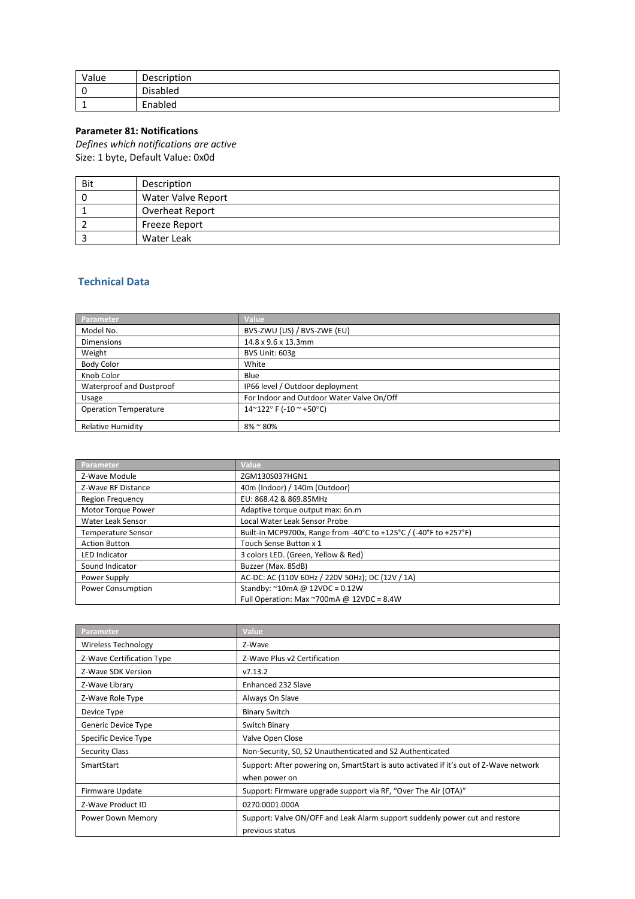| Value    | Description     |
|----------|-----------------|
| 0        | <b>Disabled</b> |
| <b>.</b> | Enabled         |

# **Parameter 81: Notifications**

*Defines which notifications are active* Size: 1 byte, Default Value: 0x0d

| Bit | Description               |
|-----|---------------------------|
|     | <b>Water Valve Report</b> |
|     | Overheat Report           |
|     | <b>Freeze Report</b>      |
|     | Water Leak                |

# **Technical Data**

| Parameter                    | Value                                     |
|------------------------------|-------------------------------------------|
| Model No.                    | BVS-ZWU (US) / BVS-ZWE (EU)               |
| <b>Dimensions</b>            | 14.8 x 9.6 x 13.3mm                       |
| Weight                       | BVS Unit: 603g                            |
| <b>Body Color</b>            | White                                     |
| Knob Color                   | Blue                                      |
| Waterproof and Dustproof     | IP66 level / Outdoor deployment           |
| Usage                        | For Indoor and Outdoor Water Valve On/Off |
| <b>Operation Temperature</b> | 14~122°F (-10 ~ +50°C)                    |
| <b>Relative Humidity</b>     | $8\%$ ~ 80%                               |

| Parameter                 | Value                                                             |
|---------------------------|-------------------------------------------------------------------|
| Z-Wave Module             | ZGM130S037HGN1                                                    |
| Z-Wave RF Distance        | 40m (Indoor) / 140m (Outdoor)                                     |
| <b>Region Frequency</b>   | EU: 868.42 & 869.85MHz                                            |
| Motor Torque Power        | Adaptive torque output max: 6n.m                                  |
| Water Leak Sensor         | Local Water Leak Sensor Probe                                     |
| <b>Temperature Sensor</b> | Built-in MCP9700x, Range from -40°C to +125°C / (-40°F to +257°F) |
| <b>Action Button</b>      | Touch Sense Button x 1                                            |
| <b>LED Indicator</b>      | 3 colors LED. (Green, Yellow & Red)                               |
| Sound Indicator           | Buzzer (Max. 85dB)                                                |
| Power Supply              | AC-DC: AC (110V 60Hz / 220V 50Hz); DC (12V / 1A)                  |
| Power Consumption         | Standby: $^{\sim}$ 10mA @ 12VDC = 0.12W                           |
|                           | Full Operation: Max $\sim$ 700mA @ 12VDC = 8.4W                   |

| Parameter                  | Value                                                                                  |
|----------------------------|----------------------------------------------------------------------------------------|
| <b>Wireless Technology</b> | Z-Wave                                                                                 |
| Z-Wave Certification Type  | Z-Wave Plus v2 Certification                                                           |
| Z-Wave SDK Version         | V7.13.2                                                                                |
| Z-Wave Library             | Enhanced 232 Slave                                                                     |
| Z-Wave Role Type           | Always On Slave                                                                        |
| Device Type                | <b>Binary Switch</b>                                                                   |
| Generic Device Type        | Switch Binary                                                                          |
| Specific Device Type       | Valve Open Close                                                                       |
| <b>Security Class</b>      | Non-Security, S0, S2 Unauthenticated and S2 Authenticated                              |
| SmartStart                 | Support: After powering on, SmartStart is auto activated if it's out of Z-Wave network |
|                            | when power on                                                                          |
| Firmware Update            | Support: Firmware upgrade support via RF, "Over The Air (OTA)"                         |
| Z-Wave Product ID          | 0270.0001.000A                                                                         |
| Power Down Memory          | Support: Valve ON/OFF and Leak Alarm support suddenly power cut and restore            |
|                            | previous status                                                                        |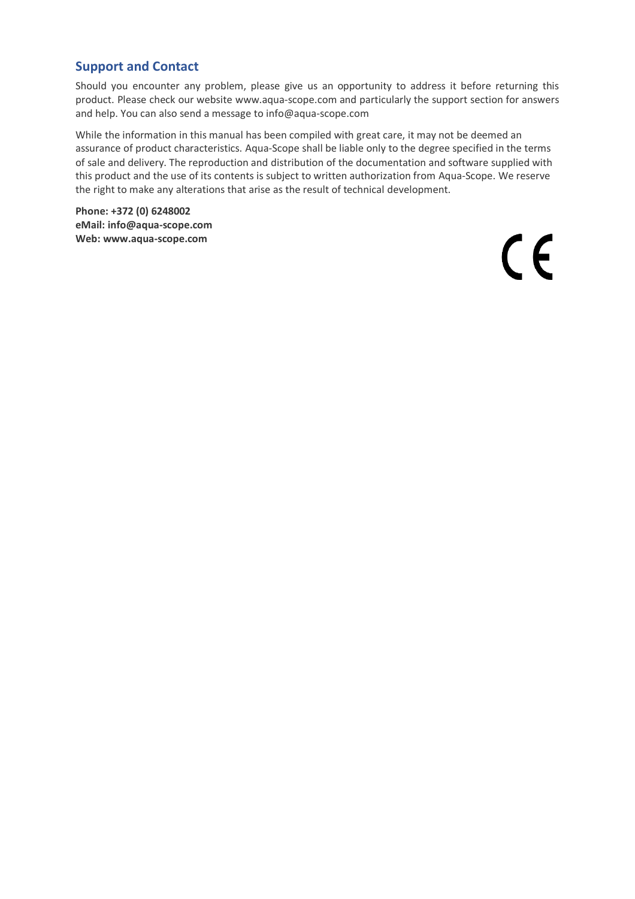# **Support and Contact**

Should you encounter any problem, please give us an opportunity to address it before returning this product. Please check our website www.aqua-scope.com and particularly the support section for answers and help. You can also send a message to info@aqua-scope.com

While the information in this manual has been compiled with great care, it may not be deemed an assurance of product characteristics. Aqua-Scope shall be liable only to the degree specified in the terms of sale and delivery. The reproduction and distribution of the documentation and software supplied with this product and the use of its contents is subject to written authorization from Aqua-Scope. We reserve the right to make any alterations that arise as the result of technical development.

**Phone: +372 (0) 6248002 eMail: info@aqua-scope.com Web: www.aqua-scope.com**

 $\epsilon$